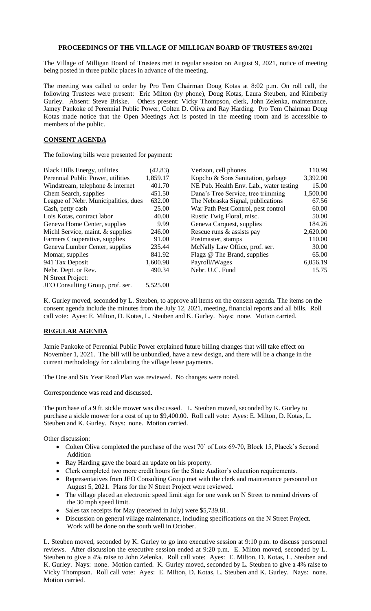## **PROCEEDINGS OF THE VILLAGE OF MILLIGAN BOARD OF TRUSTEES 8/9/2021**

The Village of Milligan Board of Trustees met in regular session on August 9, 2021, notice of meeting being posted in three public places in advance of the meeting.

The meeting was called to order by Pro Tem Chairman Doug Kotas at 8:02 p.m. On roll call, the following Trustees were present: Eric Milton (by phone), Doug Kotas, Laura Steuben, and Kimberly Gurley. Absent: Steve Briske. Others present: Vicky Thompson, clerk, John Zelenka, maintenance, Jamey Pankoke of Perennial Public Power, Colten D. Oliva and Ray Harding. Pro Tem Chairman Doug Kotas made notice that the Open Meetings Act is posted in the meeting room and is accessible to members of the public.

## **CONSENT AGENDA**

The following bills were presented for payment:

| <b>Black Hills Energy, utilities</b> | (42.83)  | Verizon, cell phones                    | 110.99   |
|--------------------------------------|----------|-----------------------------------------|----------|
| Perennial Public Power, utilities    | 1,859.17 | Kopcho & Sons Sanitation, garbage       | 3,392.00 |
| Windstream, telephone & internet     | 401.70   | NE Pub. Health Env. Lab., water testing | 15.00    |
| Chem Search, supplies                | 451.50   | Dana's Tree Service, tree trimming      | 1,500.00 |
| League of Nebr. Municipalities, dues | 632.00   | The Nebraska Signal, publications       | 67.56    |
| Cash, petty cash                     | 25.00    | War Path Pest Control, pest control     | 60.00    |
| Lois Kotas, contract labor           | 40.00    | Rustic Twig Floral, misc.               | 50.00    |
| Geneva Home Center, supplies         | 9.99     | Geneva Carquest, supplies               | 184.26   |
| Michl Service, maint. & supplies     | 246.00   | Rescue runs & assists pay               | 2,620.00 |
| Farmers Cooperative, supplies        | 91.00    | Postmaster, stamps                      | 110.00   |
| Geneva Lumber Center, supplies       | 235.44   | McNally Law Office, prof. ser.          | 30.00    |
| Momar, supplies                      | 841.92   | Flagz @ The Brand, supplies             | 65.00    |
| 941 Tax Deposit                      | 1,600.98 | Payroll//Wages                          | 6,056.19 |
| Nebr. Dept. or Rev.                  | 490.34   | Nebr. U.C. Fund                         | 15.75    |
| N Street Project:                    |          |                                         |          |
| JEO Consulting Group, prof. ser.     | 5,525.00 |                                         |          |

K. Gurley moved, seconded by L. Steuben, to approve all items on the consent agenda. The items on the consent agenda include the minutes from the July 12, 2021, meeting, financial reports and all bills. Roll call vote: Ayes: E. Milton, D. Kotas, L. Steuben and K. Gurley. Nays: none. Motion carried.

## **REGULAR AGENDA**

Jamie Pankoke of Perennial Public Power explained future billing changes that will take effect on November 1, 2021. The bill will be unbundled, have a new design, and there will be a change in the current methodology for calculating the village lease payments.

The One and Six Year Road Plan was reviewed. No changes were noted.

Correspondence was read and discussed.

The purchase of a 9 ft. sickle mower was discussed. L. Steuben moved, seconded by K. Gurley to purchase a sickle mower for a cost of up to \$9,400.00. Roll call vote: Ayes: E. Milton, D. Kotas, L. Steuben and K. Gurley. Nays: none. Motion carried.

Other discussion:

- Colten Oliva completed the purchase of the west 70' of Lots 69-70, Block 15, Placek's Second Addition
- Ray Harding gave the board an update on his property.
- Clerk completed two more credit hours for the State Auditor's education requirements.
- Representatives from JEO Consulting Group met with the clerk and maintenance personnel on August 5, 2021. Plans for the N Street Project were reviewed.
- The village placed an electronic speed limit sign for one week on N Street to remind drivers of the 30 mph speed limit.
- Sales tax receipts for May (received in July) were \$5,739.81.
- Discussion on general village maintenance, including specifications on the N Street Project. Work will be done on the south well in October.

L. Steuben moved, seconded by K. Gurley to go into executive session at 9:10 p.m. to discuss personnel reviews. After discussion the executive session ended at 9:20 p.m. E. Milton moved, seconded by L. Steuben to give a 4% raise to John Zelenka. Roll call vote: Ayes: E. Milton, D. Kotas, L. Steuben and K. Gurley. Nays: none. Motion carried. K. Gurley moved, seconded by L. Steuben to give a 4% raise to Vicky Thompson. Roll call vote: Ayes: E. Milton, D. Kotas, L. Steuben and K. Gurley. Nays: none. Motion carried.